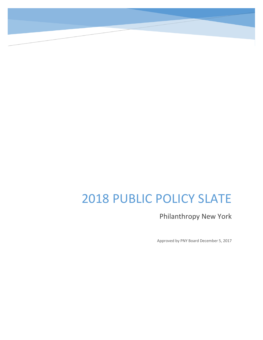# 2018 PUBLIC POLICY SLATE

Philanthropy New York

Approved by PNY Board December 5, 2017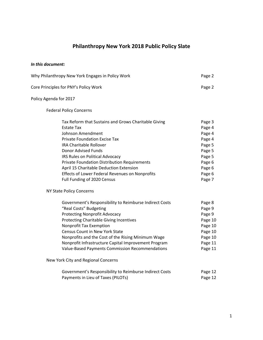# **Philanthropy New York 2018 Public Policy Slate**

#### *In this document:*

| Why Philanthropy New York Engages in Policy Work                                                                                                                                                                                                                                                                                                                                                                       | Page 2                                                                                                     |
|------------------------------------------------------------------------------------------------------------------------------------------------------------------------------------------------------------------------------------------------------------------------------------------------------------------------------------------------------------------------------------------------------------------------|------------------------------------------------------------------------------------------------------------|
| Core Principles for PNY's Policy Work                                                                                                                                                                                                                                                                                                                                                                                  | Page 2                                                                                                     |
| Policy Agenda for 2017                                                                                                                                                                                                                                                                                                                                                                                                 |                                                                                                            |
| <b>Federal Policy Concerns</b>                                                                                                                                                                                                                                                                                                                                                                                         |                                                                                                            |
| Tax Reform that Sustains and Grows Charitable Giving<br><b>Estate Tax</b><br>Johnson Amendment<br><b>Private Foundation Excise Tax</b><br><b>IRA Charitable Rollover</b><br>Donor Advised Funds<br>IRS Rules on Political Advocacy<br><b>Private Foundation Distribution Requirements</b><br>April 15 Charitable Deduction Extension<br>Effects of Lower Federal Revenues on Nonprofits<br>Full Funding of 2020 Census | Page 3<br>Page 4<br>Page 4<br>Page 4<br>Page 5<br>Page 5<br>Page 5<br>Page 6<br>Page 6<br>Page 6<br>Page 7 |
| NY State Policy Concerns                                                                                                                                                                                                                                                                                                                                                                                               |                                                                                                            |
| Government's Responsibility to Reimburse Indirect Costs<br>"Real Costs" Budgeting<br><b>Protecting Nonprofit Advocacy</b><br><b>Protecting Charitable Giving Incentives</b><br>Nonprofit Tax Exemption<br><b>Census Count in New York State</b><br>Nonprofits and the Cost of the Rising Minimum Wage<br>Nonprofit Infrastructure Capital Improvement Program<br>Value-Based Payments Commission Recommendations       | Page 8<br>Page 9<br>Page 9<br>Page 10<br>Page 10<br>Page 10<br>Page 10<br>Page 11<br>Page 11               |
| New York City and Regional Concerns                                                                                                                                                                                                                                                                                                                                                                                    |                                                                                                            |
| Government's Responsibility to Reimburse Indirect Costs<br>Payments in Lieu of Taxes (PILOTs)                                                                                                                                                                                                                                                                                                                          | Page 12<br>Page 12                                                                                         |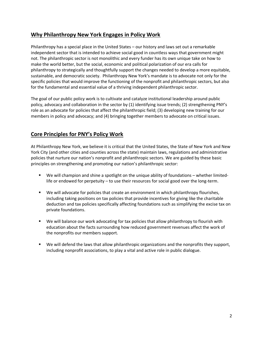## **Why Philanthropy New York Engages in Policy Work**

Philanthropy has a special place in the United States – our history and laws set out a remarkable independent sector that is intended to achieve social good in countless ways that government might not. The philanthropic sector is not monolithic and every funder has its own unique take on how to make the world better, but the social, economic and political polarization of our era calls for philanthropy to strategically and thoughtfully support the changes needed to develop a more equitable, sustainable, and democratic society. Philanthropy New York's mandate is to advocate not only for the specific policies that would improve the functioning of the nonprofit and philanthropic sectors, but also for the fundamental and essential value of a thriving independent philanthropic sector.

The goal of our public policy work is to cultivate and catalyze institutional leadership around public policy, advocacy and collaboration in the sector by (1) identifying issue trends; (2) strengthening PNY's role as an advocate for policies that affect the philanthropic field; (3) developing new training for our members in policy and advocacy; and (4) bringing together members to advocate on critical issues.

## **Core Principles for PNY's Policy Work**

At Philanthropy New York, we believe it is critical that the United States, the State of New York and New York City (and other cities and counties across the state) maintain laws, regulations and administrative policies that nurture our nation's nonprofit and philanthropic sectors. We are guided by these basic principles on strengthening and promoting our nation's philanthropic sector:

- We will champion and shine a spotlight on the unique ability of foundations whether limitedlife or endowed for perpetuity – to use their resources for social good over the long-term.
- **We will advocate for policies that create an environment in which philanthropy flourishes,** including taking positions on tax policies that provide incentives for giving like the charitable deduction and tax policies specifically affecting foundations such as simplifying the excise tax on private foundations.
- We will balance our work advocating for tax policies that allow philanthropy to flourish with education about the facts surrounding how reduced government revenues affect the work of the nonprofits our members support.
- We will defend the laws that allow philanthropic organizations and the nonprofits they support, including nonprofit associations, to play a vital and active role in public dialogue.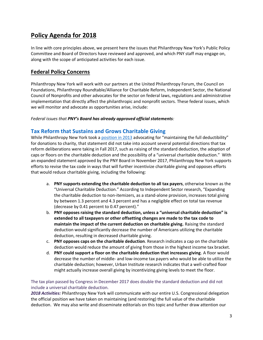## **Policy Agenda for 2018**

In line with core principles above, we present here the issues that Philanthropy New York's Public Policy Committee and Board of Directors have reviewed and approved, and which PNY staff may engage on, along with the scope of anticipated activities for each issue.

## **Federal Policy Concerns**

Philanthropy New York will work with our partners at the United Philanthropy Forum, the Council on Foundations, Philanthropy Roundtable/Alliance for Charitable Reform, Independent Sector, the National Council of Nonprofits and other advocates for the sector on federal laws, regulations and administrative implementation that directly affect the philanthropic and nonprofit sectors. These federal issues, which we will monitor and advocate as opportunities arise, include:

#### *Federal issues that PNY's Board has already approved official statements:*

#### **[Tax Reform that Sustains and Grows Charitable Giving](https://philanthropynewyork.org/tax-reform-sustains-and-grows-charitable-giving)**

While Philanthropy New York took a [position in 2013](https://philanthropynewyork.org/node/2663) advocating for "maintaining the full deductibility" for donations to charity, that statement did not take into account several potential directions that tax reform deliberations were taking in Fall 2017, such as raising of the standard deduction, the adoption of caps or floors on the charitable deduction and the possibility of a "universal charitable deduction." With an expanded statement approved by the PNY Board in November 2017, Philanthropy New York supports efforts to revise the tax code in ways that will further incentivize charitable giving and opposes efforts that would reduce charitable giving, including the following:

- a. **PNY supports extending the charitable deduction to all tax payers**, otherwise known as the "Universal Charitable Deduction." According to Independent Sector research, "Expanding the charitable deduction to non-itemizers, as a stand-alone provision, increases total giving by between 1.3 percent and 4.3 percent and has a negligible effect on total tax revenue (decrease by 0.41 percent to 0.47 percent)."
- b. **PNY opposes raising the standard deduction, unless a "universal charitable deduction" is extended to all taxpayers or other offsetting changes are made to the tax code to maintain the impact of the current deduction on charitable giving.** Raising the standard deduction would significantly decrease the number of Americans utilizing the charitable deduction, resulting in decreased charitable giving.
- c. **PNY opposes caps on the charitable deduction**. Research indicates a cap on the charitable deduction would reduce the amount of giving from those in the highest income tax bracket.
- d. **PNY could support a floor on the charitable deduction that increases giving**. A floor would decrease the number of middle- and low-income tax payers who would be able to utilize the charitable deduction; however, Urban Institute research indicates that a well-crafted floor might actually increase overall giving by incentivizing giving levels to meet the floor.

The tax plan passed by Congress in December 2017 does double the standard deduction and did not include a universal charitable deduction.

*2018 Activities:* Philanthropy New York will communicate with our entire U.S. Congressional delegation the official position we have taken on maintaining (and restoring) the full value of the charitable deduction. We may also write and disseminate editorials on this topic and further draw attention our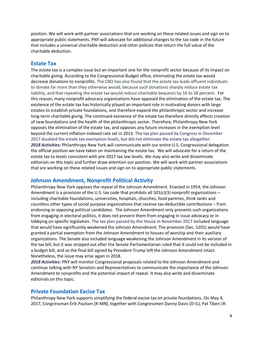position. We will work with partner associations that are working on these related issues and sign on to appropriate public statements. PNY will advocate for additional changes to the tax code in the future that includes a universal charitable deduction and other policies that return the full value of the charitable deduction.

#### **[Estate Tax](https://philanthropynewyork.org/opposition-eliminating-estate-tax)**

The estate tax is a complex issue but an important one for the nonprofit sector because of its impact on charitable giving. According to the Congressional Budget office, eliminating the estate tax would decrease donations to nonprofits. The CBO has also found that the estate tax leads affluent individuals to donate far more than they otherwise would, because such donations sharply reduce estate tax liability, and that repealing the estate tax would reduce charitable bequests by 16 to 28 percent. For this reason, many nonprofit advocacy organizations have opposed the elimination of the estate tax. The existence of the estate tax has historically played an important role in motivating donors with large estates to establish private foundations, and therefore expand the philanthropic sector and increase long-term charitable giving. The continued existence of the estate tax therefore directly effects creation of new foundations and the health of the philanthropic sector. Therefore, Philanthropy New York opposes the elimination of the estate tax, and opposes any future increases in the exemption level beyond the current inflation-indexed rate set in 2013. The tax plan passed by Congress in December 2017 doubled the estate tax exemption levels, but did not eliminate the estate tax altogether. *2018 Activities:* Philanthropy New York will communicate with our entire U.S. Congressional delegation the official position we have taken on maintaining the estate tax. We will advocate for a return of the estate tax to levels consistent with pre-2017 tax law levels. We may also write and disseminate editorials on this topic and further draw attention our position. We will work with partner associations that are working on these related issues and sign on to appropriate public statements.

#### **[Johnson Amendment, Nonprofit Political Activity](https://philanthropynewyork.org/johnson-amendment-nonprofit-political-activity)**

Philanthropy New York opposes the repeal of the Johnson Amendment. Enacted in 1954, the Johnson Amendment is a provision of the U.S. tax code that prohibits all  $501(c)(3)$  nonprofit organizations – including charitable foundations, universities, hospitals, churches, food pantries, think tanks and countless other types of social purpose organizations that receive tax-deductible contributions – from endorsing or opposing political candidates. The Johnson Amendment only prevents such organizations from engaging in electoral politics, it does not prevent them from engaging in issue advocacy or in lobbying on specific legislation. The tax plan passed by the House in November 2017 included language that would have significantly weakened the Johnson Amendment. The provision (Sec. 5201) would have granted a partial exemption from the Johnson Amendment to houses of worship and their auxiliary organizations. The Senate also included language weakening the Johnson Amendment in its version of the tax bill, but it was stripped out after the Senate Parliamentarian ruled that it could not be included in a budget bill, and so the final bill signed by President Trump left the Johnson Amendment intact. Nonetheless, the issue may arise again in 2018.

*2018 Activities:* PNY will monitor Congressional proposals related to the Johnson Amendment and continue talking with NY Senators and Representatives to communicate the importance of the Johnson Amendment to nonprofits and the potential impact of repeal. It may also write and disseminate editorials on this topic.

#### **[Private Foundation Excise Tax](https://philanthropynewyork.org/node/2662)**

Philanthropy New York supports simplifying the federal excise tax on private foundations. On May 4, 2017, Congressman Erik Paulsen (R-MN), together with Congressmen Danny Davis (D-IL), Pat Tiberi (R-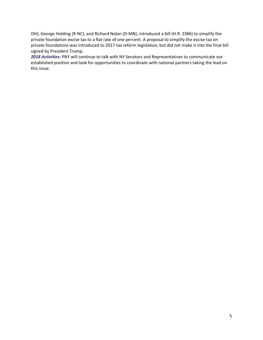OH), George Holding (R-NC), and Richard Nolan (D-MN), introduced a bill (H.R. 2386) to simplify the private foundation excise tax to a flat rate of one percent. A proposal to simplify the excise tax on private foundations was introduced to 2017 tax reform legislation, but did not make it into the final bill signed by President Trump.

*2018 Activities:* PNY will continue to talk with NY Senators and Representatives to communicate our established position and look for opportunities to coordinate with national partners taking the lead on this issue.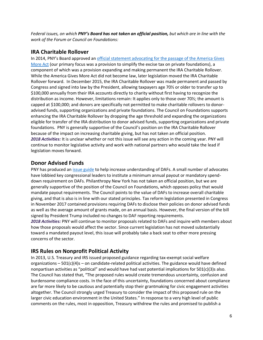*Federal issues, on which PNY's Board has not taken an official position, but which are in line with the work of the Forum or Council on Foundations:*

#### **IRA Charitable Rollover**

In 2014, PNY's Board approved an [official statement advocating for the passage of the America Gives](https://philanthropynewyork.org/urging-us-senate-pass-america-gives-more-act)  [More Act](https://philanthropynewyork.org/urging-us-senate-pass-america-gives-more-act) (our primary focus was a provision to simplify the excise tax on private foundations), a component of which was a provision expanding and making permanent the IRA Charitable Rollover. While the America Gives More Act did not become law, later legislation moved the IRA Charitable Rollover forward. In December 2015, the IRA Charitable Rollover was made permanent and passed by Congress and signed into law by the President, allowing taxpayers age 70½ or older to transfer up to \$100,000 annually from their IRA accounts directly to charity without first having to recognize the distribution as income. However, limitations remain: It applies only to those over 70½; the amount is capped at \$100,000; and donors are specifically not permitted to make charitable rollovers to donoradvised funds, supporting organizations and private foundations. The Council on Foundations supports enhancing the IRA Charitable Rollover by dropping the age threshold and expanding the organizations eligible for transfer of the IRA distribution to donor advised funds, supporting organizations and private foundations. PNY is generally supportive of the Council's position on the IRA Charitable Rollover because of the impact on increasing charitable giving, but has not taken an official position. *2018 Activities:* It is unclear whether or not this issue will see any action in the coming year. PNY will continue to monitor legislative activity and work with national partners who would take the lead if legislation moves forward.

#### **Donor Advised Funds**

PNY has produced an [issue guide](https://philanthropynewyork.org/resources/regulating-donor-advised-funds) to help increase understanding of DAFs. A small number of advocates have lobbied key congressional leaders to institute a minimum annual payout or mandatory spenddown requirement on DAFs. Philanthropy New York has not taken an official position, but we are generally supportive of the position of the Council on Foundations, which opposes policy that would mandate payout requirements. The Council points to the value of DAFs to increase overall charitable giving, and that is also is in line with our stated principles. Tax reform legislation presented in Congress in November 2017 contained provisions requiring DAFs to disclose their policies on donor advised funds as well as the average amount of grants made, on an annual basis. However, the final version of the bill signed by President Trump included no changes to DAF reporting requirements.

*2018 Activities:* PNY will continue to monitor proposals related to DAFs and inquire with members about how those proposals would affect the sector. Since current legislation has not moved substantially toward a mandated payout level, this issue will probably take a back seat to other more pressing concerns of the sector.

#### **IRS Rules on Nonprofit Political Activity**

In 2013, U.S. Treasury and IRS issued proposed guidance regarding tax-exempt social welfare organizations  $-501(c)(4)s$  – on candidate-related political activities. The guidance would have defined nonpartisan activities as "political" and would have had vast potential implications for 501(c)(3)s also. The Council has stated that, "The proposed rules would create tremendous uncertainty, confusion and burdensome compliance costs. In the face of this uncertainty, foundations concerned about compliance are far more likely to be cautious and potentially stop their grantmaking for civic engagement activities altogether. The Council strongly urged Treasury to consider the impact of this proposed rule on the larger civic education environment in the United States." In response to a very high level of public comments on the rules, most in opposition, Treasury withdrew the rules and promised to publish a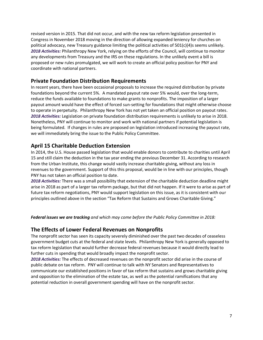revised version in 2015. That did not occur, and with the new tax reform legislation presented in Congress in November 2018 moving in the direction of allowing expanded leniency for churches on political advocacy, new Treasury guidance limiting the political activities of  $501(c)(4)$ s seems unlikely. *2018 Activities:* Philanthropy New York, relying on the efforts of the Council, will continue to monitor any developments from Treasury and the IRS on these regulations. In the unlikely event a bill is proposed or new rules promulgated, we will work to create an official policy position for PNY and coordinate with national partners.

#### **Private Foundation Distribution Requirements**

In recent years, there have been occasional proposals to increase the required distribution by private foundations beyond the current 5%. A mandated payout rate over 5% would, over the long-term, reduce the funds available to foundations to make grants to nonprofits. The imposition of a larger payout amount would have the effect of forced sun-setting for foundations that might otherwise choose to operate in perpetuity. Philanthropy New York has not yet taken an official position on payout rates. *2018 Activities:* Legislation on private foundation distribution requirements is unlikely to arise in 2018. Nonetheless, PNY will continue to monitor and work with national partners if potential legislation is being formulated. If changes in rules are proposed on legislation introduced increasing the payout rate, we will immediately bring the issue to the Public Policy Committee.

## **April 15 Charitable Deduction Extension**

In 2014, the U.S. House passed legislation that would enable donors to contribute to charities until April 15 and still claim the deduction in the tax year ending the previous December 31. According to research from the Urban Institute, this change would vastly increase charitable giving, without any loss in revenues to the government. Support of this this proposal, would be in line with our principles, though PNY has not taken an official position to date.

*2018 Activities:* There was a small possibility that extension of the charitable deduction deadline might arise in 2018 as part of a larger tax reform package, but that did not happen. If it were to arise as part of future tax reform negotiations, PNY would support legislation on this issue, as it is consistent with our principles outlined above in the section "Tax Reform that Sustains and Grows Charitable Giving."

*Federal issues we are tracking and which may come before the Public Policy Committee in 2018:*

#### **The Effects of Lower Federal Revenues on Nonprofits**

The nonprofit sector has seen its capacity severely diminished over the past two decades of ceaseless government budget cuts at the federal and state levels. Philanthropy New York is generally opposed to tax reform legislation that would further decrease federal revenues because it would directly lead to further cuts in spending that would broadly impact the nonprofit sector.

*2018 Activities:* The effects of decreased revenues on the nonprofit sector did arise in the course of public debate on tax reform. PNY will continue to talk with NY Senators and Representatives to communicate our established positions in favor of tax reform that sustains and grows charitable giving and opposition to the elimination of the estate tax, as well as the potential ramifications that any potential reduction in overall government spending will have on the nonprofit sector.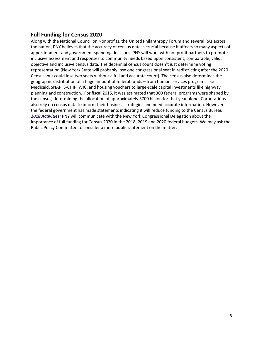### **Full Funding for Census 2020**

Along with the National Council on Nonprofits, the United Philanthropy Forum and several RAs across the nation, PNY believes that the accuracy of census data is crucial because it affects so many aspects of apportionment and government spending decisions. PNY will work with nonprofit partners to promote inclusive assessment and responses to community needs based upon consistent, comparable, valid, objective and inclusive census data. The decennial census count doesn't just determine voting representation (New York State will probably lose one congressional seat in redistricting after the 2020 Census, but could lose two seats without a full and accurate count). The census also determines the geographic distribution of a huge amount of federal funds – from human services programs like Medicaid, SNAP, S-CHIP, WIC, and housing vouchers to large-scale capital investments like highway planning and construction. For fiscal 2015, it was estimated that 300 federal programs were shaped by the census, determining the allocation of approximately \$700 billion for that year alone. Corporations also rely on census data to inform their business strategies and need accurate information. However, the federal government has made statements indicating it will reduce funding to the Census Bureau. *2018 Activities:* PNY will communicate with the New York Congressional Delegation about the importance of full funding for Census 2020 in the 2018, 2019 and 2020 federal budgets. We may ask the Public Policy Committee to consider a more public statement on the matter.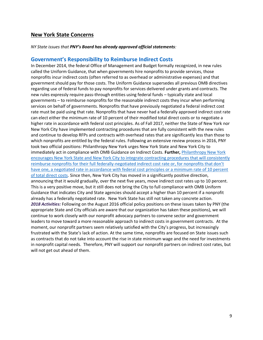#### **New York State Concerns**

#### *NY State issues that PNY's Board has already approved official statements:*

#### **Go[vernment's Responsibility to Reimburse](https://philanthropynewyork.org/full-implementation-omb-guidance-indirect-costs-new-york-state-and-city) Indirect Costs**

In December 2014, the federal Office of Management and Budget formally recognized, in new rules called the Uniform Guidance, that when governments hire nonprofits to provide services, those nonprofits incur indirect costs (often referred to as overhead or administrative expenses) and that government should pay for those costs. The Uniform Guidance supersedes all previous OMB directives regarding use of federal funds to pay nonprofits for services delivered under grants and contracts. The new rules expressly require pass-through entities using federal funds – typically state and local governments – to reimburse nonprofits for the reasonable indirect costs they incur when performing services on behalf of governments. Nonprofits that have previously negotiated a federal indirect cost rate must be paid using that rate. Nonprofits that have never had a federally approved indirect cost rate can elect either the minimum rate of 10 percent of their modified total direct costs or to negotiate a higher rate in accordance with federal cost principles. As of Fall 2017, neither the State of New York nor New York City have implemented contracting procedures that are fully consistent with the new rules and continue to develop RFPs and contracts with overhead rates that are significantly less than those to which nonprofits are entitled by the federal rules. Following an extensive review process in 2016, PNY took two official positions: Philanthropy New York urges New York State and New York City to immediately act in compliance with OMB Guidance on Indirect Costs. **Further,** [Philanthropy New York](https://philanthropynewyork.org/indirect-costs-all-state-and-city-budget-agreements)  [encourages New York State and New York City to integrate contracting procedures that will consistently](https://philanthropynewyork.org/indirect-costs-all-state-and-city-budget-agreements)  [reimburse nonprofits for their full federally-negotiated indire](https://philanthropynewyork.org/indirect-costs-all-state-and-city-budget-agreements)ct cost rate or, for nonprofits that don't [have one, a negotiated rate in accordance with federal cost principles or a minimum rate of 10 percent](https://philanthropynewyork.org/indirect-costs-all-state-and-city-budget-agreements)  [of total direct costs.](https://philanthropynewyork.org/indirect-costs-all-state-and-city-budget-agreements) Since then, New York City has moved in a significantly positive direction, announcing that it would gradually, over the next five years, move indirect cost rates up to 10 percent. This is a very positive move, but it still does not bring the City to full compliance with OMB Uniform Guidance that indicates City and State agencies should accept a higher than 10 percent if a nonprofit already has a federally negotiated rate. New York State has still not taken any concrete action. *2018 Activities:* Following on the August 2016 official policy positions on these issues taken by PNY (the appropriate State and City officials are aware that our organization has taken these positions), we will continue to work closely with our nonprofit advocacy partners to convene sector and government leaders to move toward a more reasonable approach to indirect costs in government contracts. At the moment, our nonprofit partners seem relatively satisfied with the City's progress, but increasingly frustrated with the State's lack of action. At the same time, nonprofits are focused on State issues such as contracts that do not take into account the rise in state minimum wage and the need for investments in nonprofit capital needs. Therefore, PNY will support our nonprofit partners on indirect cost rates, but will not get out ahead of them.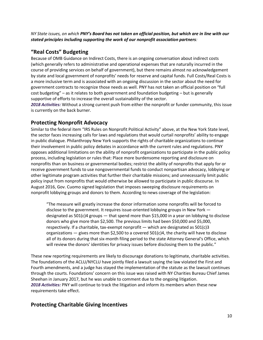*NY State issues, on which PNY's Board has not taken an official position, but which are in line with our stated principles including supporting the work of our nonprofit association partners:* 

## **"Real Costs" Budgeting**

Because of OMB Guidance on Indirect Costs, there is an ongoing conversation about indirect costs (which generally refers to administrative and operational expenses that are naturally incurred in the course of providing services on behalf of government), but there remains almost no acknowledgement by state and local government of nonprofits' needs for reserve and capital funds. Full Costs/Real Costs is a more inclusive term and is associated with an ongoing discussion in the sector about the need for government contracts to recognize those needs as well. PNY has not taken an official position on "full cost budgeting" – as it relates to both government and foundation budgeting – but is generally supportive of efforts to increase the overall sustainability of the sector.

*2018 Activities:* Without a strong current push from either the nonprofit or funder community, this issue is currently on the back burner.

### **Protecting Nonprofit Advocacy**

Similar to the federal item "IRS Rules on Nonprofit Political Activity" above, at the New York State level, the sector faces increasing calls for laws and regulations that would curtail nonprofits' ability to engage in public dialogue. Philanthropy New York supports the rights of charitable organizations to continue their involvement in public policy debates in accordance with the current rules and regulations. PNY opposes additional limitations on the ability of nonprofit organizations to participate in the public policy process, including legislation or rules that: Place more burdensome reporting and disclosure on nonprofits than on business or governmental bodies; restrict the ability of nonprofits that apply for or receive government funds to use nongovernmental funds to conduct nonpartisan advocacy, lobbying or other legitimate program activities that further their charitable missions; and unnecessarily limit public policy input from nonprofits that would otherwise be allowed to participate in public discourse. In August 2016, Gov. Cuomo signed legislation that imposes sweeping disclosure requirements on nonprofit lobbying groups and donors to them. According to news coverage of the legislation:

"The measure will greatly increase the donor information some nonprofits will be forced to disclose to the government. It requires issue-oriented lobbying groups in New York designated as 501(c)4 groups — that spend more than \$15,000 in a year on lobbying to disclose donors who give more than \$2,500. The previous limits had been \$50,000 and \$5,000, respectively. If a charitable, tax-exempt nonprofit — which are designated as  $501(c)3$ organizations  $-$  gives more than \$2,500 to a covered 501(c)4, the charity will have to disclose all of its donors during that six-month filing period to the state Attorney General's Office, which will review the donors' identities for privacy issues before disclosing them to the public."

These new reporting requirements are likely to discourage donations to legitimate, charitable activities. The foundations of the ACLU/NYCLU have jointly filed a lawsuit saying the law violated the First and Fourth amendments, and a judge has stayed the implementation of the statute as the lawsuit continues through the courts. Foundations' concern on this issue was raised with NY Charities Bureau Chief James Sheehan in January 2017, but he was unable to comment due to the ongoing litigation. *2018 Activities:* PNY will continue to track the litigation and inform its members when these new requirements take effect.

## **Protecting Charitable Giving Incentives**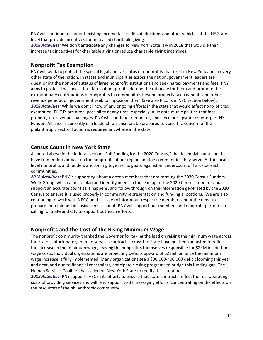PNY will continue to support existing income tax credits, deductions and other vehicles at the NY State level that provide incentives for increased charitable giving.

*2018 Activities:* We don't anticipate any changes to New York State law in 2018 that would either increase tax incentives for charitable giving or reduce charitable giving incentives.

#### **Nonprofit Tax Exemption**

PNY will work to protect the special legal and tax status of nonprofits that exist in New York and in every other state of the nation. In states and municipalities across the nation, government leaders are questioning the nonprofit status of large nonprofit institutions and seeking tax payments and fees. PNY aims to protect the special tax status of nonprofits, defend the rationale for them and promote the extraordinary contributions of nonprofits to communities beyond property tax payments and other revenue generation government seek to impose on them (See also PILOTs in NYC section below). *2018 Activities:* While we don't know of any ongoing efforts in the state that would affect nonprofit tax exemption, PILOTs are a real possibility at any time, especially in upstate municipalities that face property tax revenue challenges. PNY will continue to monitor, and since our upstate counterpart NY Funders Alliance is currently in a leadership transition, be prepared to voice the concern of the philanthropic sector if action is required anywhere in the state.

#### **Census Count in New York State**

As noted above in the federal section "Full Funding for the 2020 Census," the decennial count could have tremendous impact on the nonprofits of our region and the communities they serve. At the local level nonprofits and funders are coming together to guard against an undercount of hard-to-reach communities.

*2018 Activities:* PNY is supporting about a dozen members that are forming the 2020 Census Funders Work Group, which aims to plan and identify needs in the lead up to the 2020 Census, monitor and support an accurate count as it happens, and follow through on the information generated by the 2020 Census to ensure it is used properly in community representation and funding allocations. We are also continuing to work with NPCC on this issue to inform our respective members about the need to prepare for a fair and inclusive census count. PNY will support our members and nonprofit partners in calling for State and City to support outreach efforts.

#### **Nonprofits and the Cost of the Rising Minimum Wage**

The nonprofit community thanked the Governor for taking the lead on raising the minimum wage across the State. Unfortunately, human services contracts across the State have not been adjusted to reflect the increase in the minimum wage, leaving the nonprofits themselves responsible for \$23M in additional wage costs. Individual organizations are projecting deficits upward of \$2 million once the minimum wage increase is fully implemented. Many organizations see a \$30,000-400,000 deficit looming this year and next, and due to financial constraints, anticipate closing programs to bridge this funding gap. The Human Services Coalition has called on New York State to rectify this situation.

*2018 Activities:* PNY supports HSC in its efforts to ensure that state contracts reflect the real operating costs of providing services and will lend support to its messaging efforts, concentrating on the effects on the resources of the philanthropic community.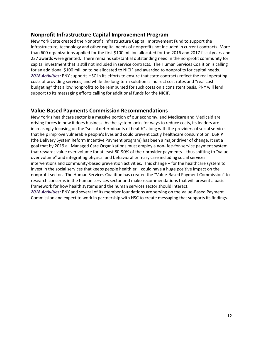#### **Nonprofit Infrastructure Capital Improvement Program**

New York State created the Nonprofit Infrastructure Capital Improvement Fund to support the infrastructure, technology and other capital needs of nonprofits not included in current contracts. More than 600 organizations applied for the first \$100 million allocated for the 2016 and 2017 fiscal years and 237 awards were granted. There remains substantial outstanding need in the nonprofit community for capital investment that is still not included in service contracts. The Human Services Coalition is calling for an additional \$100 million to be allocated to NICIF and awarded to nonprofits for capital needs. *2018 Activities:* PNY supports HSC in its efforts to ensure that state contracts reflect the real operating costs of providing services, and while the long-term solution is indirect cost rates and "real cost budgeting" that allow nonprofits to be reimbursed for such costs on a consistent basis, PNY will lend support to its messaging efforts calling for additional funds for the NICIF.

#### **Value-Based Payments Commission Recommendations**

New York's healthcare sector is a massive portion of our economy, and Medicare and Medicaid are driving forces in how it does business. As the system looks for ways to reduce costs, its leaders are increasingly focusing on the "social determinants of health" along with the providers of social services that help improve vulnerable people's lives and could prevent costly healthcare consumption. DSRIP (the Delivery System Reform Incentive Payment program) has been a major driver of change. It set a goal that by 2019 all Managed Care Organizations must employ a non- fee-for-service payment system that rewards value over volume for at least 80-90% of their provider payments – thus shifting to "value over volume" and integrating physical and behavioral primary care including social services interventions and community-based prevention activities. This change – for the healthcare system to invest in the social services that keeps people healthier – could have a huge positive impact on the nonprofit sector. The Human Services Coalition has created the "Value-Based Payment Commission" to research concerns in the human services sector and make recommendations that will present a basic framework for how health systems and the human services sector should interact.

*2018 Activities:* PNY and several of its member foundations are serving on the Value-Based Payment Commission and expect to work in partnership with HSC to create messaging that supports its findings.